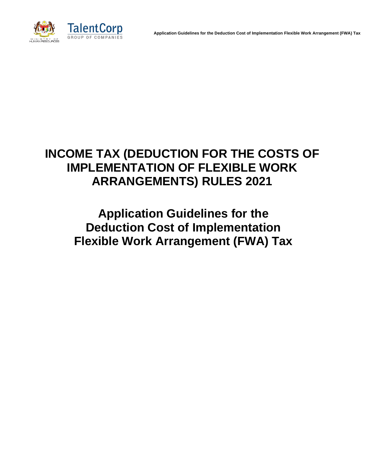

# **INCOME TAX (DEDUCTION FOR THE COSTS OF IMPLEMENTATION OF FLEXIBLE WORK ARRANGEMENTS) RULES 2021**

**Application Guidelines for the Deduction Cost of Implementation Flexible Work Arrangement (FWA) Tax**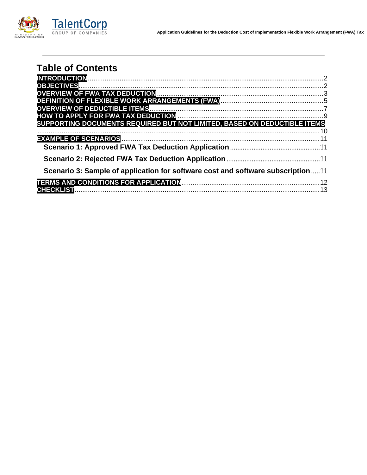

| <b>Table of Contents</b>                                                        |  |
|---------------------------------------------------------------------------------|--|
|                                                                                 |  |
|                                                                                 |  |
|                                                                                 |  |
|                                                                                 |  |
|                                                                                 |  |
|                                                                                 |  |
| SUPPORTING DOCUMENTS REQUIRED BUT NOT LIMITED, BASED ON DEDUCTIBLE ITEMS        |  |
|                                                                                 |  |
|                                                                                 |  |
|                                                                                 |  |
|                                                                                 |  |
| Scenario 3: Sample of application for software cost and software subscription11 |  |
|                                                                                 |  |
|                                                                                 |  |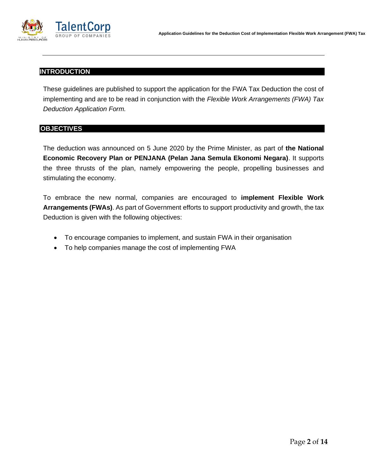

## <span id="page-2-0"></span>**INTRODUCTION**

These guidelines are published to support the application for the FWA Tax Deduction the cost of implementing and are to be read in conjunction with the *Flexible Work Arrangements (FWA) Tax Deduction Application Form.* 

## <span id="page-2-1"></span>**OBJECTIVES**

The deduction was announced on 5 June 2020 by the Prime Minister, as part of **the National Economic Recovery Plan or PENJANA (Pelan Jana Semula Ekonomi Negara)**. It supports the three thrusts of the plan, namely empowering the people, propelling businesses and stimulating the economy.

To embrace the new normal, companies are encouraged to **implement Flexible Work Arrangements (FWAs)**. As part of Government efforts to support productivity and growth, the tax Deduction is given with the following objectives:

- To encourage companies to implement, and sustain FWA in their organisation
- To help companies manage the cost of implementing FWA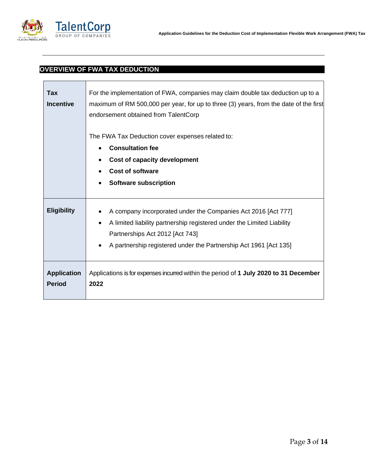

# <span id="page-3-0"></span>**OVERVIEW OF FWA TAX DEDUCTION**

| Tax<br><b>Incentive</b>             | For the implementation of FWA, companies may claim double tax deduction up to a<br>maximum of RM 500,000 per year, for up to three (3) years, from the date of the first<br>endorsement obtained from TalentCorp                                     |
|-------------------------------------|------------------------------------------------------------------------------------------------------------------------------------------------------------------------------------------------------------------------------------------------------|
|                                     | The FWA Tax Deduction cover expenses related to:                                                                                                                                                                                                     |
|                                     | <b>Consultation fee</b>                                                                                                                                                                                                                              |
|                                     | <b>Cost of capacity development</b>                                                                                                                                                                                                                  |
|                                     | <b>Cost of software</b>                                                                                                                                                                                                                              |
|                                     | <b>Software subscription</b>                                                                                                                                                                                                                         |
| <b>Eligibility</b>                  | A company incorporated under the Companies Act 2016 [Act 777]<br>A limited liability partnership registered under the Limited Liability<br>٠<br>Partnerships Act 2012 [Act 743]<br>A partnership registered under the Partnership Act 1961 [Act 135] |
| <b>Application</b><br><b>Period</b> | Applications is for expenses incurred within the period of 1 July 2020 to 31 December<br>2022                                                                                                                                                        |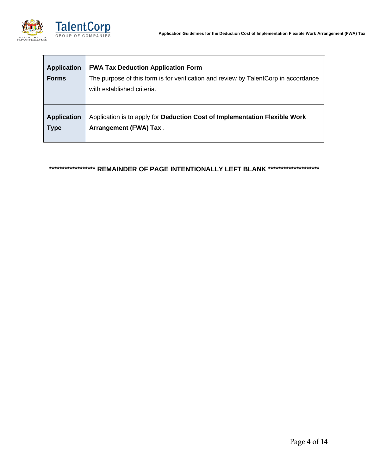

| <b>Application</b><br><b>Forms</b> | <b>FWA Tax Deduction Application Form</b><br>The purpose of this form is for verification and review by TalentCorp in accordance<br>with established criteria. |
|------------------------------------|----------------------------------------------------------------------------------------------------------------------------------------------------------------|
| <b>Application</b>                 | Application is to apply for Deduction Cost of Implementation Flexible Work                                                                                     |
| <b>Type</b>                        | Arrangement (FWA) Tax.                                                                                                                                         |

# **\*\*\*\*\*\*\*\*\*\*\*\*\*\*\*\*\*\* REMAINDER OF PAGE INTENTIONALLY LEFT BLANK \*\*\*\*\*\*\*\*\*\*\*\*\*\*\*\*\*\*\*\***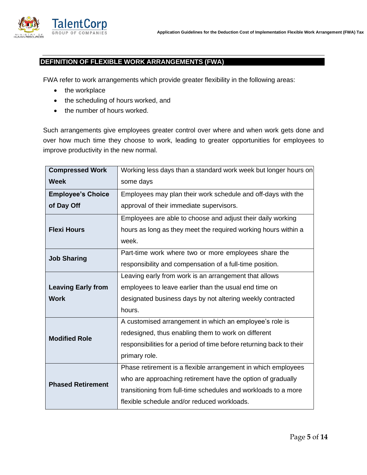

# <span id="page-5-0"></span>**DEFINITION OF FLEXIBLE WORK ARRANGEMENTS (FWA)**

FWA refer to work arrangements which provide greater flexibility in the following areas:

- the workplace
- the scheduling of hours worked, and
- the number of hours worked.

Such arrangements give employees greater control over where and when work gets done and over how much time they choose to work, leading to greater opportunities for employees to improve productivity in the new normal.

| <b>Compressed Work</b>    | Working less days than a standard work week but longer hours on      |
|---------------------------|----------------------------------------------------------------------|
| <b>Week</b>               | some days                                                            |
| <b>Employee's Choice</b>  | Employees may plan their work schedule and off-days with the         |
| of Day Off                | approval of their immediate supervisors.                             |
|                           | Employees are able to choose and adjust their daily working          |
| <b>Flexi Hours</b>        | hours as long as they meet the required working hours within a       |
|                           | week.                                                                |
| <b>Job Sharing</b>        | Part-time work where two or more employees share the                 |
|                           | responsibility and compensation of a full-time position.             |
|                           | Leaving early from work is an arrangement that allows                |
| <b>Leaving Early from</b> | employees to leave earlier than the usual end time on                |
| <b>Work</b>               | designated business days by not altering weekly contracted           |
|                           | hours.                                                               |
|                           | A customised arrangement in which an employee's role is              |
| <b>Modified Role</b>      | redesigned, thus enabling them to work on different                  |
|                           | responsibilities for a period of time before returning back to their |
|                           | primary role.                                                        |
|                           | Phase retirement is a flexible arrangement in which employees        |
| <b>Phased Retirement</b>  | who are approaching retirement have the option of gradually          |
|                           | transitioning from full-time schedules and workloads to a more       |
|                           | flexible schedule and/or reduced workloads.                          |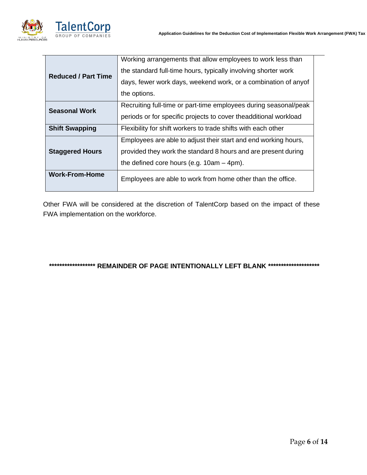

 $\overline{a}$ 

|                            | Working arrangements that allow employees to work less than      |
|----------------------------|------------------------------------------------------------------|
| <b>Reduced / Part Time</b> | the standard full-time hours, typically involving shorter work   |
|                            | days, fewer work days, weekend work, or a combination of anyof   |
|                            | the options.                                                     |
| <b>Seasonal Work</b>       | Recruiting full-time or part-time employees during seasonal/peak |
|                            | periods or for specific projects to cover theadditional workload |
| <b>Shift Swapping</b>      | Flexibility for shift workers to trade shifts with each other    |
|                            | Employees are able to adjust their start and end working hours,  |
| <b>Staggered Hours</b>     | provided they work the standard 8 hours and are present during   |
|                            | the defined core hours (e.g. $10am - 4pm$ ).                     |
| <b>Work-From-Home</b>      | Employees are able to work from home other than the office.      |
|                            |                                                                  |

Other FWA will be considered at the discretion of TalentCorp based on the impact of these FWA implementation on the workforce.

**\*\*\*\*\*\*\*\*\*\*\*\*\*\*\*\*\*\* REMAINDER OF PAGE INTENTIONALLY LEFT BLANK \*\*\*\*\*\*\*\*\*\*\*\*\*\*\*\*\*\*\*\***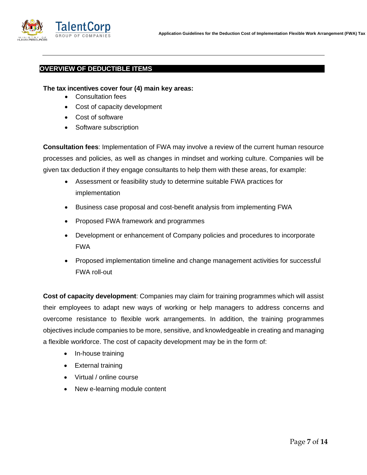

### <span id="page-7-0"></span>**OVERVIEW OF DEDUCTIBLE ITEMS**

#### **The tax incentives cover four (4) main key areas:**

- Consultation fees
- Cost of capacity development
- Cost of software
- Software subscription

**Consultation fees**: Implementation of FWA may involve a review of the current human resource processes and policies, as well as changes in mindset and working culture. Companies will be given tax deduction if they engage consultants to help them with these areas, for example:

- Assessment or feasibility study to determine suitable FWA practices for implementation
- Business case proposal and cost-benefit analysis from implementing FWA
- Proposed FWA framework and programmes
- Development or enhancement of Company policies and procedures to incorporate FWA
- Proposed implementation timeline and change management activities for successful FWA roll-out

**Cost of capacity development**: Companies may claim for training programmes which will assist their employees to adapt new ways of working or help managers to address concerns and overcome resistance to flexible work arrangements. In addition, the training programmes objectives include companies to be more, sensitive, and knowledgeable in creating and managing a flexible workforce. The cost of capacity development may be in the form of:

- In-house training
- External training
- Virtual / online course
- New e-learning module content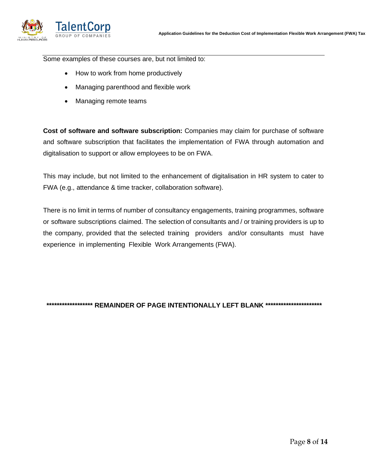

Some examples of these courses are, but not limited to:

- How to work from home productively
- Managing parenthood and flexible work
- Managing remote teams

**Cost of software and software subscription:** Companies may claim for purchase of software and software subscription that facilitates the implementation of FWA through automation and digitalisation to support or allow employees to be on FWA.

This may include, but not limited to the enhancement of digitalisation in HR system to cater to FWA (e.g., attendance & time tracker, collaboration software).

There is no limit in terms of number of consultancy engagements, training programmes, software or software subscriptions claimed. The selection of consultants and / or training providers is up to the company, provided that the selected training providers and/or consultants must have experience in implementing Flexible Work Arrangements (FWA).

**\*\*\*\*\*\*\*\*\*\*\*\*\*\*\*\*\*\* REMAINDER OF PAGE INTENTIONALLY LEFT BLANK \*\*\*\*\*\*\*\*\*\*\*\*\*\*\*\*\*\*\*\*\*\***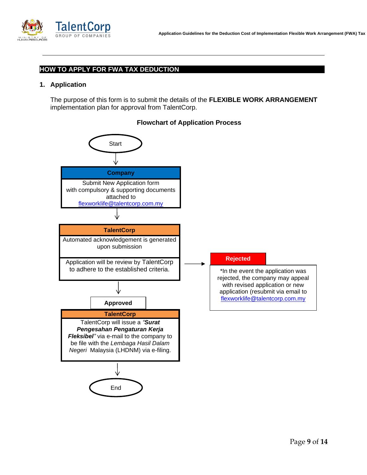

## <span id="page-9-0"></span>**HOW TO APPLY FOR FWA TAX DEDUCTION**

#### **1. Application**

The purpose of this form is to submit the details of the **FLEXIBLE WORK ARRANGEMENT** implementation plan for approval from TalentCorp.



#### **Flowchart of Application Process**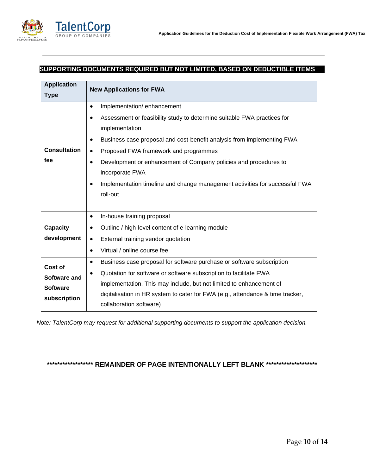

## <span id="page-10-0"></span>**SUPPORTING DOCUMENTS REQUIRED BUT NOT LIMITED, BASED ON DEDUCTIBLE ITEMS**

| <b>Application</b><br><b>Type</b>                                 | <b>New Applications for FWA</b>                                                                                                                                                                                                                                                                                                                                                                                                                                     |  |
|-------------------------------------------------------------------|---------------------------------------------------------------------------------------------------------------------------------------------------------------------------------------------------------------------------------------------------------------------------------------------------------------------------------------------------------------------------------------------------------------------------------------------------------------------|--|
| <b>Consultation</b><br>fee                                        | Implementation/enhancement<br>$\bullet$<br>Assessment or feasibility study to determine suitable FWA practices for<br>implementation<br>Business case proposal and cost-benefit analysis from implementing FWA<br>Proposed FWA framework and programmes<br>$\bullet$<br>Development or enhancement of Company policies and procedures to<br>$\bullet$<br>incorporate FWA<br>Implementation timeline and change management activities for successful FWA<br>roll-out |  |
| <b>Capacity</b><br>development                                    | In-house training proposal<br>$\bullet$<br>Outline / high-level content of e-learning module<br>$\bullet$<br>External training vendor quotation<br>$\bullet$<br>Virtual / online course fee<br>$\bullet$                                                                                                                                                                                                                                                            |  |
| <b>Cost of</b><br>Software and<br><b>Software</b><br>subscription | Business case proposal for software purchase or software subscription<br>$\bullet$<br>Quotation for software or software subscription to facilitate FWA<br>٠<br>implementation. This may include, but not limited to enhancement of<br>digitalisation in HR system to cater for FWA (e.g., attendance & time tracker,<br>collaboration software)                                                                                                                    |  |

*Note: TalentCorp may request for additional supporting documents to support the application decision.*

# **\*\*\*\*\*\*\*\*\*\*\*\*\*\*\*\*\*\* REMAINDER OF PAGE INTENTIONALLY LEFT BLANK \*\*\*\*\*\*\*\*\*\*\*\*\*\*\*\*\*\*\*\***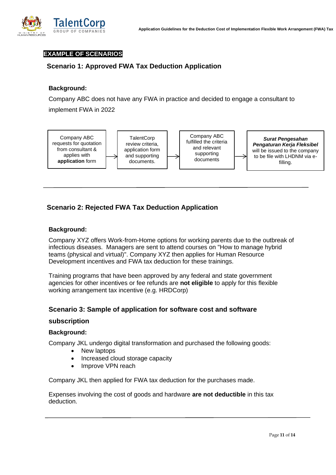<span id="page-11-0"></span>

## <span id="page-11-1"></span>**EXAMPLE OF SCENARIOS**

# **Scenario 1: Approved FWA Tax Deduction Application**

## **Background:**

Company ABC does not have any FWA in practice and decided to engage a consultant to

implement FWA in 2022



# <span id="page-11-2"></span>**Scenario 2: Rejected FWA Tax Deduction Application**

#### **Background:**

Company XYZ offers Work-from-Home options for working parents due to the outbreak of infectious diseases. Managers are sent to attend courses on "How to manage hybrid teams (physical and virtual)". Company XYZ then applies for Human Resource Development incentives and FWA tax deduction for these trainings.

<span id="page-11-3"></span>Training programs that have been approved by any federal and state government agencies for other incentives or fee refunds are **not eligible** to apply for this flexible working arrangement tax incentive (e.g. HRDCorp)

## **Scenario 3: Sample of application for software cost and software**

#### **subscription**

# **Background:**

Company JKL undergo digital transformation and purchased the following goods:

- New laptops
- Increased cloud storage capacity
- Improve VPN reach

Company JKL then applied for FWA tax deduction for the purchases made.

Expenses involving the cost of goods and hardware **are not deductible** in this tax deduction.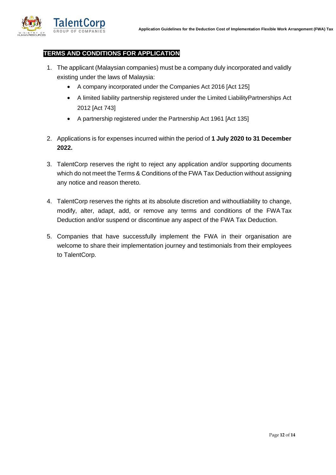<span id="page-12-0"></span>

## **TERMS AND CONDITIONS FOR APPLICATION**

- 1. The applicant (Malaysian companies) must be a company duly incorporated and validly existing under the laws of Malaysia:
	- A company incorporated under the Companies Act 2016 [Act 125]
	- A limited liability partnership registered under the Limited LiabilityPartnerships Act 2012 [Act 743]
	- A partnership registered under the Partnership Act 1961 [Act 135]
- 2. Applications is for expenses incurred within the period of **1 July 2020 to 31 December 2022.**
- 3. TalentCorp reserves the right to reject any application and/or supporting documents which do not meet the Terms & Conditions of the FWA Tax Deduction without assigning any notice and reason thereto.
- 4. TalentCorp reserves the rights at its absolute discretion and withoutliability to change, modify, alter, adapt, add, or remove any terms and conditions of the FWATax Deduction and/or suspend or discontinue any aspect of the FWA Tax Deduction.
- 5. Companies that have successfully implement the FWA in their organisation are welcome to share their implementation journey and testimonials from their employees to TalentCorp.